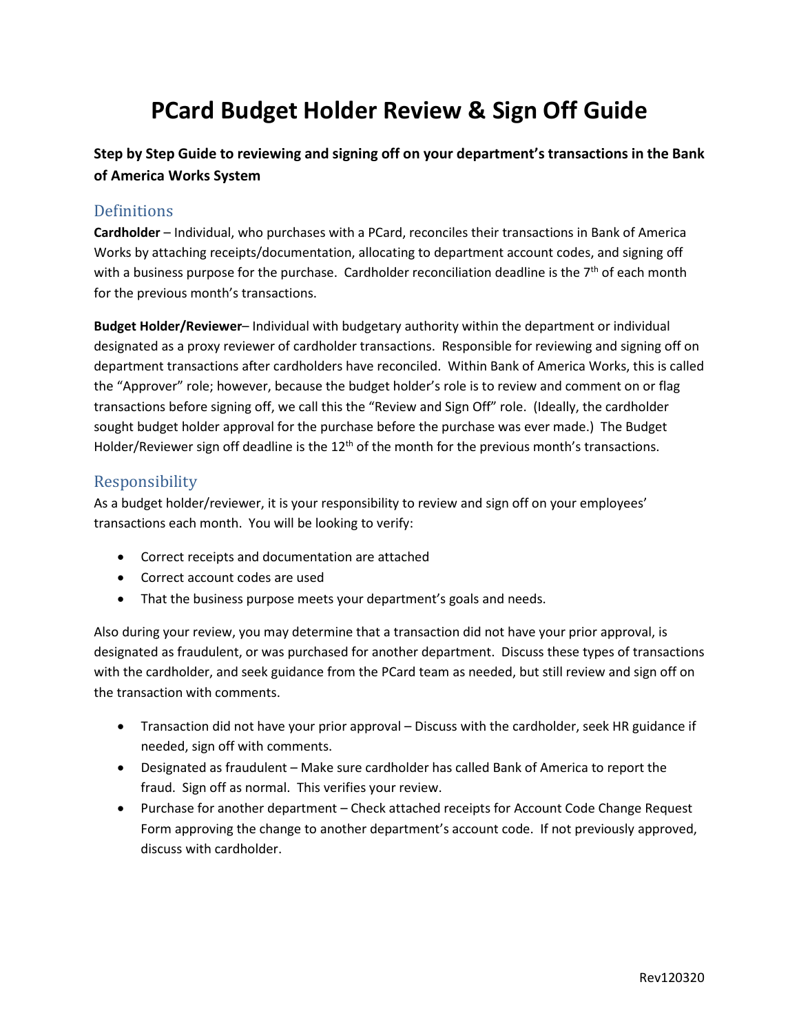# **PCard Budget Holder Review & Sign Off Guide**

**Step by Step Guide to reviewing and signing off on your department's transactions in the Bank of America Works System**

### **Definitions**

**Cardholder** – Individual, who purchases with a PCard, reconciles their transactions in Bank of America Works by attaching receipts/documentation, allocating to department account codes, and signing off with a business purpose for the purchase. Cardholder reconciliation deadline is the  $7<sup>th</sup>$  of each month for the previous month's transactions.

**Budget Holder/Reviewer**– Individual with budgetary authority within the department or individual designated as a proxy reviewer of cardholder transactions. Responsible for reviewing and signing off on department transactions after cardholders have reconciled. Within Bank of America Works, this is called the "Approver" role; however, because the budget holder's role is to review and comment on or flag transactions before signing off, we call this the "Review and Sign Off" role. (Ideally, the cardholder sought budget holder approval for the purchase before the purchase was ever made.) The Budget Holder/Reviewer sign off deadline is the 12<sup>th</sup> of the month for the previous month's transactions.

## Responsibility

As a budget holder/reviewer, it is your responsibility to review and sign off on your employees' transactions each month. You will be looking to verify:

- Correct receipts and documentation are attached
- Correct account codes are used
- That the business purpose meets your department's goals and needs.

Also during your review, you may determine that a transaction did not have your prior approval, is designated as fraudulent, or was purchased for another department. Discuss these types of transactions with the cardholder, and seek guidance from the PCard team as needed, but still review and sign off on the transaction with comments.

- Transaction did not have your prior approval Discuss with the cardholder, seek HR guidance if needed, sign off with comments.
- Designated as fraudulent Make sure cardholder has called Bank of America to report the fraud. Sign off as normal. This verifies your review.
- Purchase for another department Check attached receipts for Account Code Change Request Form approving the change to another department's account code. If not previously approved, discuss with cardholder.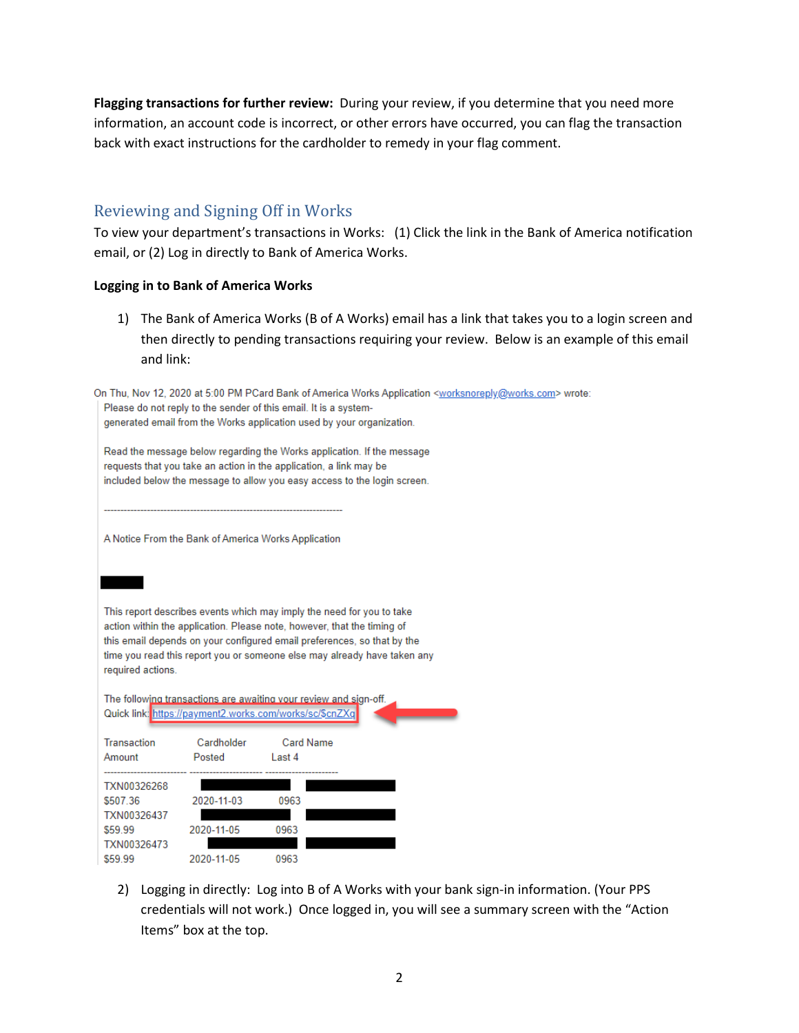**Flagging transactions for further review:** During your review, if you determine that you need more information, an account code is incorrect, or other errors have occurred, you can flag the transaction back with exact instructions for the cardholder to remedy in your flag comment.

## Reviewing and Signing Off in Works

To view your department's transactions in Works: (1) Click the link in the Bank of America notification email, or (2) Log in directly to Bank of America Works.

#### **Logging in to Bank of America Works**

1) The Bank of America Works (B of A Works) email has a link that takes you to a login screen and then directly to pending transactions requiring your review. Below is an example of this email and link:

|                    |                                                                                                                                              | Please do not reply to the sender of this email. It is a system-                                                                                   | On Thu, Nov 12, 2020 at 5:00 PM PCard Bank of America Works Application <worksnoreply@works.com> wrote:</worksnoreply@works.com> |  |  |  |  |  |  |
|--------------------|----------------------------------------------------------------------------------------------------------------------------------------------|----------------------------------------------------------------------------------------------------------------------------------------------------|----------------------------------------------------------------------------------------------------------------------------------|--|--|--|--|--|--|
|                    |                                                                                                                                              | generated email from the Works application used by your organization.                                                                              |                                                                                                                                  |  |  |  |  |  |  |
|                    |                                                                                                                                              |                                                                                                                                                    |                                                                                                                                  |  |  |  |  |  |  |
|                    | Read the message below regarding the Works application. If the message<br>requests that you take an action in the application, a link may be |                                                                                                                                                    |                                                                                                                                  |  |  |  |  |  |  |
|                    | included below the message to allow you easy access to the login screen.                                                                     |                                                                                                                                                    |                                                                                                                                  |  |  |  |  |  |  |
|                    |                                                                                                                                              |                                                                                                                                                    |                                                                                                                                  |  |  |  |  |  |  |
|                    |                                                                                                                                              |                                                                                                                                                    |                                                                                                                                  |  |  |  |  |  |  |
|                    |                                                                                                                                              | A Notice From the Bank of America Works Application                                                                                                |                                                                                                                                  |  |  |  |  |  |  |
|                    |                                                                                                                                              |                                                                                                                                                    |                                                                                                                                  |  |  |  |  |  |  |
|                    |                                                                                                                                              |                                                                                                                                                    |                                                                                                                                  |  |  |  |  |  |  |
|                    |                                                                                                                                              |                                                                                                                                                    |                                                                                                                                  |  |  |  |  |  |  |
|                    |                                                                                                                                              | This report describes events which may imply the need for you to take                                                                              |                                                                                                                                  |  |  |  |  |  |  |
|                    |                                                                                                                                              | action within the application. Please note, however, that the timing of<br>this email depends on your configured email preferences, so that by the |                                                                                                                                  |  |  |  |  |  |  |
|                    |                                                                                                                                              | time you read this report you or someone else may already have taken any                                                                           |                                                                                                                                  |  |  |  |  |  |  |
| required actions.  |                                                                                                                                              |                                                                                                                                                    |                                                                                                                                  |  |  |  |  |  |  |
|                    |                                                                                                                                              |                                                                                                                                                    |                                                                                                                                  |  |  |  |  |  |  |
|                    |                                                                                                                                              | The following transactions are awaiting your review and sign-off.<br>Quick link: https://payment2.works.com/works/sc/\$cnZXq                       |                                                                                                                                  |  |  |  |  |  |  |
|                    |                                                                                                                                              |                                                                                                                                                    |                                                                                                                                  |  |  |  |  |  |  |
| <b>Transaction</b> | Cardholder                                                                                                                                   | Card Name                                                                                                                                          |                                                                                                                                  |  |  |  |  |  |  |
| Amount             | Posted                                                                                                                                       | Last 4                                                                                                                                             |                                                                                                                                  |  |  |  |  |  |  |
| TXN00326268        |                                                                                                                                              |                                                                                                                                                    |                                                                                                                                  |  |  |  |  |  |  |
| \$507.36           | 2020-11-03                                                                                                                                   | 0963                                                                                                                                               |                                                                                                                                  |  |  |  |  |  |  |
| TXN00326437        |                                                                                                                                              |                                                                                                                                                    |                                                                                                                                  |  |  |  |  |  |  |
| \$59.99            | 2020-11-05                                                                                                                                   | 0963                                                                                                                                               |                                                                                                                                  |  |  |  |  |  |  |
| TXN00326473        |                                                                                                                                              |                                                                                                                                                    |                                                                                                                                  |  |  |  |  |  |  |
| \$59.99            | 2020-11-05                                                                                                                                   | 0963                                                                                                                                               |                                                                                                                                  |  |  |  |  |  |  |

2) Logging in directly: Log into B of A Works with your bank sign-in information. (Your PPS credentials will not work.) Once logged in, you will see a summary screen with the "Action Items" box at the top.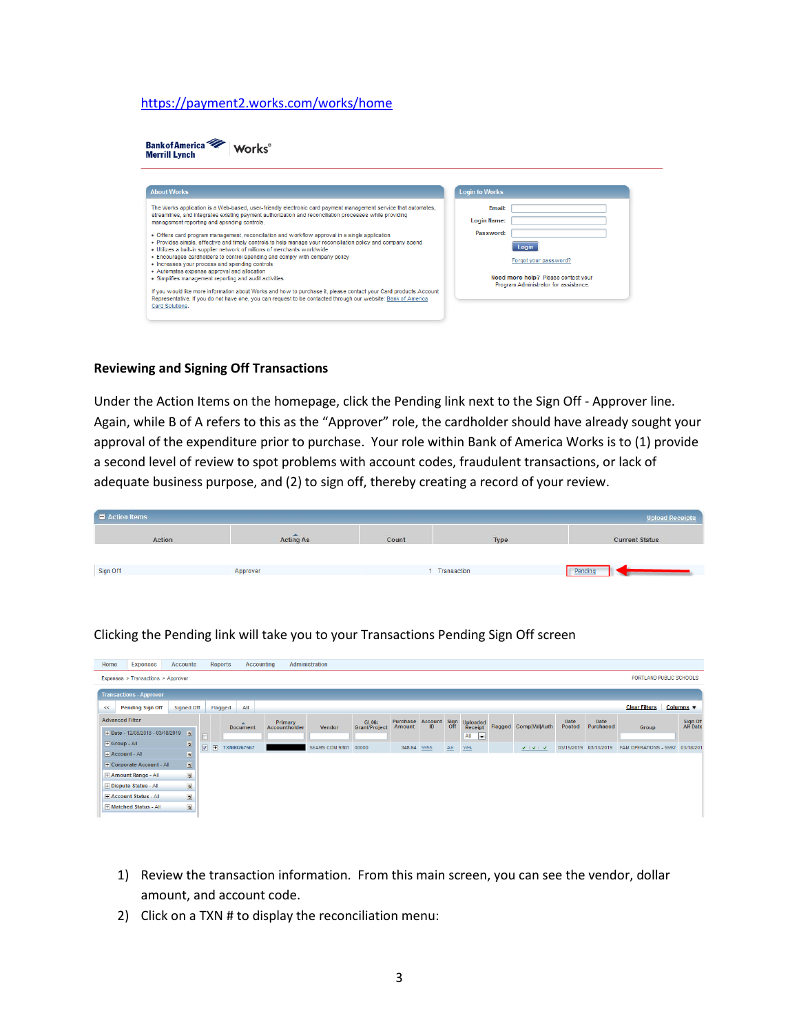#### <https://payment2.works.com/works/home>

| <b>Bank of America</b><br><b>Merrill Lynch</b>                                                                                                                                                                                                                                                                                                                                                                                                                                                                                                                                                                                                                                                                                                                                                                                                                                                                                                                                                                                                                           |                                                                                                                                                                    |
|--------------------------------------------------------------------------------------------------------------------------------------------------------------------------------------------------------------------------------------------------------------------------------------------------------------------------------------------------------------------------------------------------------------------------------------------------------------------------------------------------------------------------------------------------------------------------------------------------------------------------------------------------------------------------------------------------------------------------------------------------------------------------------------------------------------------------------------------------------------------------------------------------------------------------------------------------------------------------------------------------------------------------------------------------------------------------|--------------------------------------------------------------------------------------------------------------------------------------------------------------------|
| <b>About Works</b>                                                                                                                                                                                                                                                                                                                                                                                                                                                                                                                                                                                                                                                                                                                                                                                                                                                                                                                                                                                                                                                       | <b>Login to Works</b>                                                                                                                                              |
| The Works application is a Web-based, user-friendly electronic card payment management service that automates,<br>streamlines, and integrates existing payment authorization and reconciliation processes while providing<br>management reporting and spending controls.<br>• Offers card program management, reconciliation and workflow approval in a single application<br>• Provides simple, effective and timely controls to help manage your reconciliation policy and company spend<br>. Utilizes a built-in supplier network of millions of merchants worldwide<br>. Encourages cardholders to control spending and comply with company policy<br>• Increases your process and spending controls<br>• Automates expense approval and allocation<br>• Simplifies management reporting and audit activities<br>If you would like more information about Works and how to purchase it, please contact your Card products Account<br>Representative. If you do not have one, you can request to be contacted through our website: Bank of America<br>Card Solutions. | <b>Email:</b><br><b>Login Name:</b><br>Password:<br>Login<br>Forgot your password?<br>Need more help? Please contact your<br>Program Administrator for assistance. |

#### **Reviewing and Signing Off Transactions**

Under the Action Items on the homepage, click the Pending link next to the Sign Off - Approver line. Again, while B of A refers to this as the "Approver" role, the cardholder should have already sought your approval of the expenditure prior to purchase. Your role within Bank of America Works is to (1) provide a second level of review to spot problems with account codes, fraudulent transactions, or lack of adequate business purpose, and (2) to sign off, thereby creating a record of your review.

| $A ction$ Items |           |       |             | <b>Upload Receipts</b> |
|-----------------|-----------|-------|-------------|------------------------|
| Action          | Acting As | Count | Type        | <b>Current Status</b>  |
|                 |           |       |             |                        |
| Sign Off        | Approver  |       | Transaction | Pending                |

| Home                 | <b>Expenses</b>                                                                              | <b>Accounts</b> |                         |                | <b>Reports</b> |                                     | Accounting               | Administration       |                                      |                                                         |  |    |                     |         |                                        |                       |                       |                       |  |                    |
|----------------------|----------------------------------------------------------------------------------------------|-----------------|-------------------------|----------------|----------------|-------------------------------------|--------------------------|----------------------|--------------------------------------|---------------------------------------------------------|--|----|---------------------|---------|----------------------------------------|-----------------------|-----------------------|-----------------------|--|--------------------|
|                      | PORTLAND PUBLIC SCHOOLS<br>Expenses > Transactions > Approver                                |                 |                         |                |                |                                     |                          |                      |                                      |                                                         |  |    |                     |         |                                        |                       |                       |                       |  |                    |
|                      | <b>Transactions - Approver</b>                                                               |                 |                         |                |                |                                     |                          |                      |                                      |                                                         |  |    |                     |         |                                        |                       |                       |                       |  |                    |
| $\ll$                | <b>Clear Filters</b><br>Columns v<br>All<br>Signed Off<br>Flagged<br><b>Pending Sign Off</b> |                 |                         |                |                |                                     |                          |                      |                                      |                                                         |  |    |                     |         |                                        |                       |                       |                       |  |                    |
|                      | <b>Advanced Filter</b>                                                                       |                 |                         |                |                | $\blacktriangle$<br><b>Document</b> | Primary<br>Accountholder | Vendor               | <b>GL06:</b><br><b>Grant/Project</b> | Purchase Account Sign<br>Amount ID Off<br><b>Amount</b> |  |    | Uploaded<br>Receipt | Flagged | Comp Val Auth                          | Date<br><b>Posted</b> | Date<br>Purchased     | Group                 |  | Sign Of<br>AH Date |
|                      | Date - 12/08/2018 - 03/18/2019                                                               |                 | 5                       |                |                |                                     |                          |                      |                                      |                                                         |  |    | $All \rightarrow$   |         |                                        |                       |                       |                       |  |                    |
| <b>+ Group - All</b> |                                                                                              |                 | Ы                       | $\overline{v}$ | $\overline{+}$ | TXN00267567                         |                          | SEARS.COM 9301 00000 |                                      | 348.64 5955                                             |  | AH | Yes                 |         | $\mathbf{v} + \mathbf{v} + \mathbf{v}$ |                       | 03/15/2019 03/13/2019 | FAM OPERATIONS - 5592 |  | 03/18/201          |
|                      | $\Box$ Account - All                                                                         |                 | $\overline{5}$          |                |                |                                     |                          |                      |                                      |                                                         |  |    |                     |         |                                        |                       |                       |                       |  |                    |
|                      | <b>+ Corporate Account - All</b>                                                             |                 | $\overline{\mathbf{p}}$ |                |                |                                     |                          |                      |                                      |                                                         |  |    |                     |         |                                        |                       |                       |                       |  |                    |
|                      | + Amount Range - All                                                                         |                 | $\overline{\mathbf{p}}$ |                |                |                                     |                          |                      |                                      |                                                         |  |    |                     |         |                                        |                       |                       |                       |  |                    |
|                      | <b>+ Dispute Status - All</b>                                                                |                 | $\overline{b}$          |                |                |                                     |                          |                      |                                      |                                                         |  |    |                     |         |                                        |                       |                       |                       |  |                    |
|                      | + Account Status - All                                                                       |                 | $\overline{\mathbf{b}}$ |                |                |                                     |                          |                      |                                      |                                                         |  |    |                     |         |                                        |                       |                       |                       |  |                    |
|                      | + Matched Status - All                                                                       |                 | $\overline{b}$          |                |                |                                     |                          |                      |                                      |                                                         |  |    |                     |         |                                        |                       |                       |                       |  |                    |
|                      |                                                                                              |                 |                         |                |                |                                     |                          |                      |                                      |                                                         |  |    |                     |         |                                        |                       |                       |                       |  |                    |

Clicking the Pending link will take you to your Transactions Pending Sign Off screen

- 1) Review the transaction information. From this main screen, you can see the vendor, dollar amount, and account code.
- 2) Click on a TXN # to display the reconciliation menu: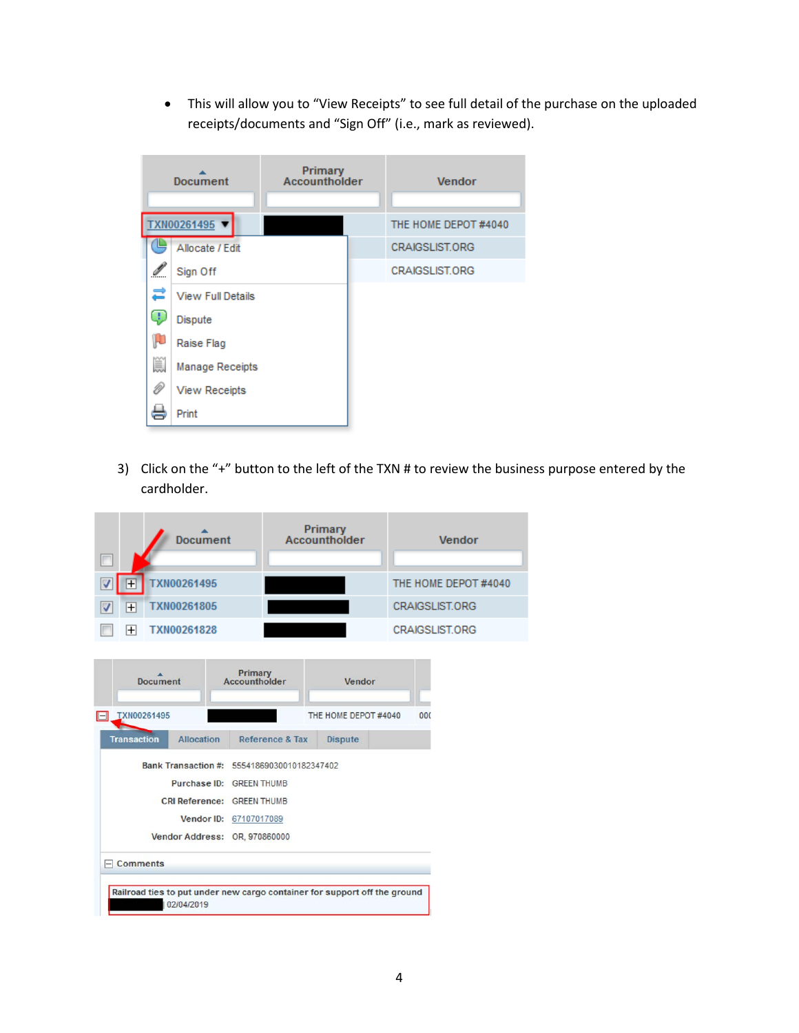• This will allow you to "View Receipts" to see full detail of the purchase on the uploaded receipts/documents and "Sign Off" (i.e., mark as reviewed).



3) Click on the "+" button to the left of the TXN # to review the business purpose entered by the cardholder.

|                | Document    | Primary<br>Accountholder | Vendor                |
|----------------|-------------|--------------------------|-----------------------|
| $^{+}$         | TXN00261495 |                          | THE HOME DEPOT #4040  |
| $\overline{+}$ | TXN00261805 |                          | <b>CRAIGSLIST.ORG</b> |
|                | TXN00261828 |                          | <b>CRAIGSLIST.ORG</b> |

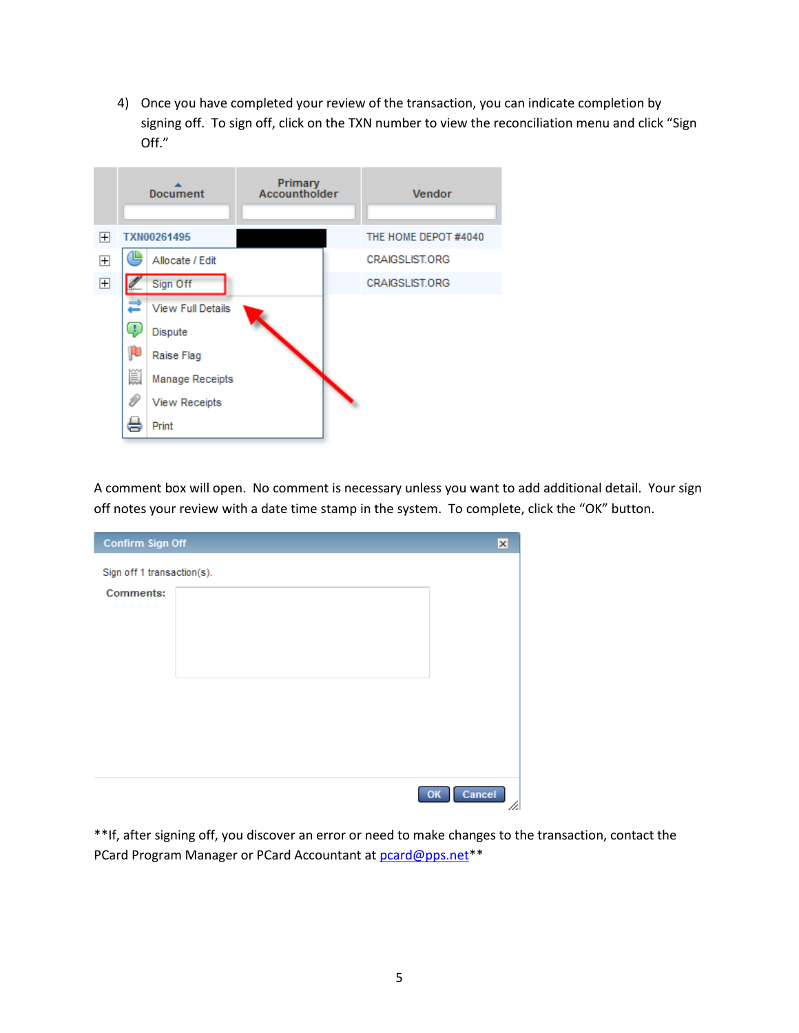4) Once you have completed your review of the transaction, you can indicate completion by signing off. To sign off, click on the TXN number to view the reconciliation menu and click "Sign Off."



A comment box will open. No comment is necessary unless you want to add additional detail. Your sign off notes your review with a date time stamp in the system. To complete, click the "OK" button.

| Confirm Sign Off           |        | $\boldsymbol{\times}$ |
|----------------------------|--------|-----------------------|
| Sign off 1 transaction(s). |        |                       |
| <b>Comments:</b>           |        |                       |
|                            |        |                       |
|                            |        |                       |
|                            |        |                       |
|                            |        |                       |
|                            |        |                       |
|                            |        |                       |
|                            |        |                       |
|                            |        |                       |
|                            | Cancel | 11.                   |

\*\*If, after signing off, you discover an error or need to make changes to the transaction, contact the PCard Program Manager or PCard Accountant at [pcard@pps.net\\*](mailto:pcard@pps.net)\*